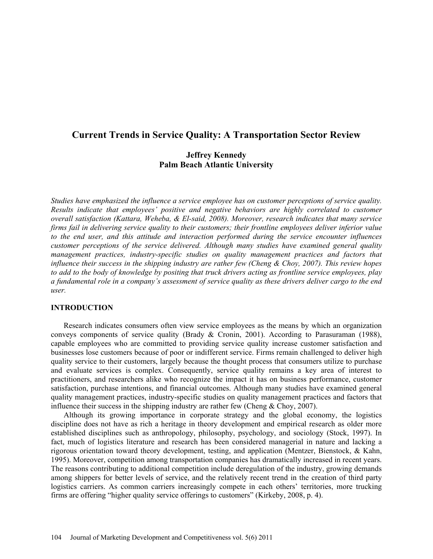# **Current Trends in Service Quality: A Transportation Sector Review**

# **Jeffrey Kennedy Palm Beach Atlantic University**

*Studies have emphasized the influence a service employee has on customer perceptions of service quality. Results indicate that employees' positive and negative behaviors are highly correlated to customer overall satisfaction (Kattara, Weheba, & El-said, 2008). Moreover, research indicates that many service firms fail in delivering service quality to their customers; their frontline employees deliver inferior value to the end user, and this attitude and interaction performed during the service encounter influences customer perceptions of the service delivered. Although many studies have examined general quality management practices, industry-specific studies on quality management practices and factors that influence their success in the shipping industry are rather few (Cheng & Choy, 2007). This review hopes to add to the body of knowledge by positing that truck drivers acting as frontline service employees, play a fundamental role in a company's assessment of service quality as these drivers deliver cargo to the end user.*

### **INTRODUCTION**

Research indicates consumers often view service employees as the means by which an organization conveys components of service quality (Brady & Cronin, 2001). According to Parasuraman (1988), capable employees who are committed to providing service quality increase customer satisfaction and businesses lose customers because of poor or indifferent service. Firms remain challenged to deliver high quality service to their customers, largely because the thought process that consumers utilize to purchase and evaluate services is complex. Consequently, service quality remains a key area of interest to practitioners, and researchers alike who recognize the impact it has on business performance, customer satisfaction, purchase intentions, and financial outcomes. Although many studies have examined general quality management practices, industry-specific studies on quality management practices and factors that influence their success in the shipping industry are rather few (Cheng & Choy, 2007).

Although its growing importance in corporate strategy and the global economy, the logistics discipline does not have as rich a heritage in theory development and empirical research as older more established disciplines such as anthropology, philosophy, psychology, and sociology (Stock, 1997). In fact, much of logistics literature and research has been considered managerial in nature and lacking a rigorous orientation toward theory development, testing, and application (Mentzer, Bienstock, & Kahn, 1995). Moreover, competition among transportation companies has dramatically increased in recent years. The reasons contributing to additional competition include deregulation of the industry, growing demands among shippers for better levels of service, and the relatively recent trend in the creation of third party logistics carriers. As common carriers increasingly compete in each others' territories, more trucking firms are offering "higher quality service offerings to customers" (Kirkeby, 2008, p. 4).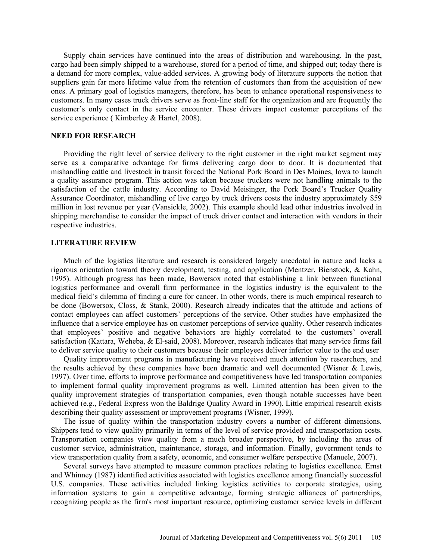Supply chain services have continued into the areas of distribution and warehousing. In the past, cargo had been simply shipped to a warehouse, stored for a period of time, and shipped out; today there is a demand for more complex, value-added services. A growing body of literature supports the notion that suppliers gain far more lifetime value from the retention of customers than from the acquisition of new ones. A primary goal of logistics managers, therefore, has been to enhance operational responsiveness to customers. In many cases truck drivers serve as front-line staff for the organization and are frequently the customer's only contact in the service encounter. These drivers impact customer perceptions of the service experience ( Kimberley & Hartel, 2008).

## **NEED FOR RESEARCH**

Providing the right level of service delivery to the right customer in the right market segment may serve as a comparative advantage for firms delivering cargo door to door. It is documented that mishandling cattle and livestock in transit forced the National Pork Board in Des Moines, Iowa to launch a quality assurance program. This action was taken because truckers were not handling animals to the satisfaction of the cattle industry. According to David Meisinger, the Pork Board's Trucker Quality Assurance Coordinator, mishandling of live cargo by truck drivers costs the industry approximately \$59 million in lost revenue per year (Vansickle, 2002). This example should lead other industries involved in shipping merchandise to consider the impact of truck driver contact and interaction with vendors in their respective industries.

#### **LITERATURE REVIEW**

Much of the logistics literature and research is considered largely anecdotal in nature and lacks a rigorous orientation toward theory development, testing, and application (Mentzer, Bienstock, & Kahn, 1995). Although progress has been made, Bowersox noted that establishing a link between functional logistics performance and overall firm performance in the logistics industry is the equivalent to the medical field's dilemma of finding a cure for cancer. In other words, there is much empirical research to be done (Bowersox, Closs, & Stank, 2000). Research already indicates that the attitude and actions of contact employees can affect customers' perceptions of the service. Other studies have emphasized the influence that a service employee has on customer perceptions of service quality. Other research indicates that employees' positive and negative behaviors are highly correlated to the customers' overall satisfaction (Kattara, Weheba, & El-said, 2008). Moreover, research indicates that many service firms fail to deliver service quality to their customers because their employees deliver inferior value to the end user

Quality improvement programs in manufacturing have received much attention by researchers, and the results achieved by these companies have been dramatic and well documented (Wisner & Lewis, 1997). Over time, efforts to improve performance and competitiveness have led transportation companies to implement formal quality improvement programs as well. Limited attention has been given to the quality improvement strategies of transportation companies, even though notable successes have been achieved (e.g., Federal Express won the Baldrige Quality Award in 1990). Little empirical research exists describing their quality assessment or improvement programs (Wisner, 1999).

The issue of quality within the transportation industry covers a number of different dimensions. Shippers tend to view quality primarily in terms of the level of service provided and transportation costs. Transportation companies view quality from a much broader perspective, by including the areas of customer service, administration, maintenance, storage, and information. Finally, government tends to view transportation quality from a safety, economic, and consumer welfare perspective (Manuele, 2007).

Several surveys have attempted to measure common practices relating to logistics excellence. Ernst and Whinney (1987) identified activities associated with logistics excellence among financially successful U.S. companies. These activities included linking logistics activities to corporate strategies, using information systems to gain a competitive advantage, forming strategic alliances of partnerships, recognizing people as the firm's most important resource, optimizing customer service levels in different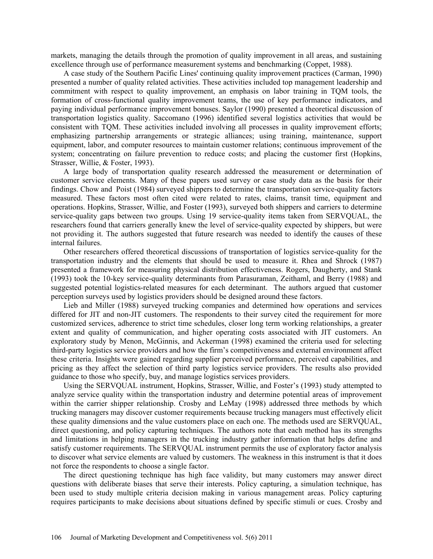markets, managing the details through the promotion of quality improvement in all areas, and sustaining excellence through use of performance measurement systems and benchmarking (Coppet, 1988).

A case study of the Southern Pacific Lines' continuing quality improvement practices (Carman, 1990) presented a number of quality related activities. These activities included top management leadership and commitment with respect to quality improvement, an emphasis on labor training in TQM tools, the formation of cross-functional quality improvement teams, the use of key performance indicators, and paying individual performance improvement bonuses. Saylor (1990) presented a theoretical discussion of transportation logistics quality. Saccomano (1996) identified several logistics activities that would be consistent with TQM. These activities included involving all processes in quality improvement efforts; emphasizing partnership arrangements or strategic alliances; using training, maintenance, support equipment, labor, and computer resources to maintain customer relations; continuous improvement of the system; concentrating on failure prevention to reduce costs; and placing the customer first (Hopkins, Strasser, Willie, & Foster, 1993).

A large body of transportation quality research addressed the measurement or determination of customer service elements. Many of these papers used survey or case study data as the basis for their findings. Chow and Poist (1984) surveyed shippers to determine the transportation service-quality factors measured. These factors most often cited were related to rates, claims, transit time, equipment and operations. Hopkins, Strasser, Willie, and Foster (1993), surveyed both shippers and carriers to determine service-quality gaps between two groups. Using 19 service-quality items taken from SERVQUAL, the researchers found that carriers generally knew the level of service-quality expected by shippers, but were not providing it. The authors suggested that future research was needed to identify the causes of these internal failures.

Other researchers offered theoretical discussions of transportation of logistics service-quality for the transportation industry and the elements that should be used to measure it. Rhea and Shrock (1987) presented a framework for measuring physical distribution effectiveness. Rogers, Daugherty, and Stank (1993) took the 10-key service-quality determinants from Parasuraman, Zeithaml, and Berry (1988) and suggested potential logistics-related measures for each determinant. The authors argued that customer perception surveys used by logistics providers should be designed around these factors.

Lieb and Miller (1988) surveyed trucking companies and determined how operations and services differed for JIT and non-JIT customers. The respondents to their survey cited the requirement for more customized services, adherence to strict time schedules, closer long term working relationships, a greater extent and quality of communication, and higher operating costs associated with JIT customers. An exploratory study by Menon, McGinnis, and Ackerman (1998) examined the criteria used for selecting third-party logistics service providers and how the firm's competitiveness and external environment affect these criteria. Insights were gained regarding supplier perceived performance, perceived capabilities, and pricing as they affect the selection of third party logistics service providers. The results also provided guidance to those who specify, buy, and manage logistics services providers.

Using the SERVQUAL instrument, Hopkins, Strasser, Willie, and Foster's (1993) study attempted to analyze service quality within the transportation industry and determine potential areas of improvement within the carrier shipper relationship. Crosby and LeMay (1998) addressed three methods by which trucking managers may discover customer requirements because trucking managers must effectively elicit these quality dimensions and the value customers place on each one. The methods used are SERVQUAL, direct questioning, and policy capturing techniques. The authors note that each method has its strengths and limitations in helping managers in the trucking industry gather information that helps define and satisfy customer requirements. The SERVQUAL instrument permits the use of exploratory factor analysis to discover what service elements are valued by customers. The weakness in this instrument is that it does not force the respondents to choose a single factor.

The direct questioning technique has high face validity, but many customers may answer direct questions with deliberate biases that serve their interests. Policy capturing, a simulation technique, has been used to study multiple criteria decision making in various management areas. Policy capturing requires participants to make decisions about situations defined by specific stimuli or cues. Crosby and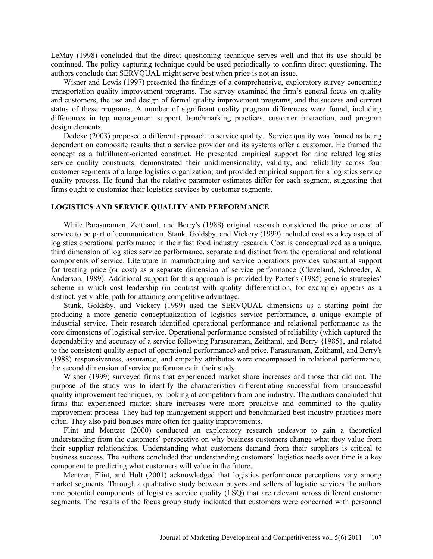LeMay (1998) concluded that the direct questioning technique serves well and that its use should be continued. The policy capturing technique could be used periodically to confirm direct questioning. The authors conclude that SERVQUAL might serve best when price is not an issue.

Wisner and Lewis (1997) presented the findings of a comprehensive, exploratory survey concerning transportation quality improvement programs. The survey examined the firm's general focus on quality and customers, the use and design of formal quality improvement programs, and the success and current status of these programs. A number of significant quality program differences were found, including differences in top management support, benchmarking practices, customer interaction, and program design elements

Dedeke (2003) proposed a different approach to service quality. Service quality was framed as being dependent on composite results that a service provider and its systems offer a customer. He framed the concept as a fulfillment-oriented construct. He presented empirical support for nine related logistics service quality constructs; demonstrated their unidimensionality, validity, and reliability across four customer segments of a large logistics organization; and provided empirical support for a logistics service quality process. He found that the relative parameter estimates differ for each segment, suggesting that firms ought to customize their logistics services by customer segments.

## **LOGISTICS AND SERVICE QUALITY AND PERFORMANCE**

While Parasuraman, Zeithaml, and Berry's (1988) original research considered the price or cost of service to be part of communication, Stank, Goldsby, and Vickery (1999) included cost as a key aspect of logistics operational performance in their fast food industry research. Cost is conceptualized as a unique, third dimension of logistics service performance, separate and distinct from the operational and relational components of service. Literature in manufacturing and service operations provides substantial support for treating price (or cost) as a separate dimension of service performance (Cleveland, Schroeder, & Anderson, 1989). Additional support for this approach is provided by Porter's (1985) generic strategies' scheme in which cost leadership (in contrast with quality differentiation, for example) appears as a distinct, yet viable, path for attaining competitive advantage.

Stank, Goldsby, and Vickery (1999) used the SERVQUAL dimensions as a starting point for producing a more generic conceptualization of logistics service performance, a unique example of industrial service. Their research identified operational performance and relational performance as the core dimensions of logistical service. Operational performance consisted of reliability (which captured the dependability and accuracy of a service following Parasuraman, Zeithaml, and Berry {1985}, and related to the consistent quality aspect of operational performance) and price. Parasuraman, Zeithaml, and Berry's (1988) responsiveness, assurance, and empathy attributes were encompassed in relational performance, the second dimension of service performance in their study.

Wisner (1999) surveyed firms that experienced market share increases and those that did not. The purpose of the study was to identify the characteristics differentiating successful from unsuccessful quality improvement techniques, by looking at competitors from one industry. The authors concluded that firms that experienced market share increases were more proactive and committed to the quality improvement process. They had top management support and benchmarked best industry practices more often. They also paid bonuses more often for quality improvements.

Flint and Mentzer (2000) conducted an exploratory research endeavor to gain a theoretical understanding from the customers' perspective on why business customers change what they value from their supplier relationships. Understanding what customers demand from their suppliers is critical to business success. The authors concluded that understanding customers' logistics needs over time is a key component to predicting what customers will value in the future.

Mentzer, Flint, and Hult (2001) acknowledged that logistics performance perceptions vary among market segments. Through a qualitative study between buyers and sellers of logistic services the authors nine potential components of logistics service quality (LSQ) that are relevant across different customer segments. The results of the focus group study indicated that customers were concerned with personnel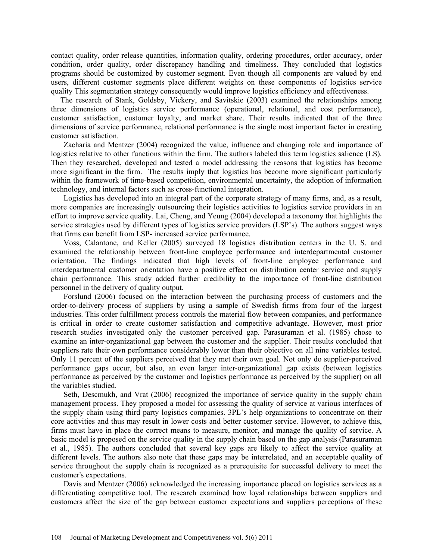contact quality, order release quantities, information quality, ordering procedures, order accuracy, order condition, order quality, order discrepancy handling and timeliness. They concluded that logistics programs should be customized by customer segment. Even though all components are valued by end users, different customer segments place different weights on these components of logistics service quality This segmentation strategy consequently would improve logistics efficiency and effectiveness.

The research of Stank, Goldsby, Vickery, and Savitskie (2003) examined the relationships among three dimensions of logistics service performance (operational, relational, and cost performance), customer satisfaction, customer loyalty, and market share. Their results indicated that of the three dimensions of service performance, relational performance is the single most important factor in creating customer satisfaction.

[Zacharia](http://proquest.umi.com/pqdweb?index=1&did=651320761&SrchMode=1&sid=1&Fmt=4&VInst=PROD&VType=PQD&CSD=29976&RQT=590&VName=PQD&TS=1194455754&clientId=8063) and [Mentzer](http://proquest.umi.com/pqdweb?index=1&did=651320761&SrchMode=1&sid=1&Fmt=4&VInst=PROD&VType=PQD&CSD=13278&RQT=590&VName=PQD&TS=1194455754&clientId=8063) (2004) recognized the value, influence and changing role and importance of logistics relative to other functions within the firm. The authors labeled this term logistics salience (LS). Then they researched, developed and tested a model addressing the reasons that logistics has become more significant in the firm. The results imply that logistics has become more significant particularly within the framework of time-based competition, environmental uncertainty, the adoption of information technology, and internal factors such as cross-functional integration.

Logistics has developed into an integral part of the corporate strategy of many firms, and, as a result, more companies are increasingly outsourcing their logistics activities to logistics service providers in an effort to improve service quality. Lai, Cheng, and Yeung (2004) developed a taxonomy that highlights the service strategies used by different types of logistics service providers (LSP's). The authors suggest ways that firms can benefit from LSP- increased service performance.

Voss, Calantone, and Keller (2005) surveyed 18 logistics distribution centers in the U. S. and examined the relationship between front-line employee performance and interdepartmental customer orientation. The findings indicated that high levels of front-line employee performance and interdepartmental customer orientation have a positive effect on distribution center service and supply chain performance. This study added further credibility to the importance of front-line distribution personnel in the delivery of quality output.

Forslund (2006) focused on the interaction between the purchasing process of customers and the order-to-delivery process of suppliers by using a sample of Swedish firms from four of the largest industries. This order fulfillment process controls the material flow between companies, and performance is critical in order to create customer satisfaction and competitive advantage. However, most prior research studies investigated only the customer perceived gap. Parasuraman et al. (1985) chose to examine an inter-organizational gap between the customer and the supplier. Their results concluded that suppliers rate their own performance considerably lower than their objective on all nine variables tested. Only 11 percent of the suppliers perceived that they met their own goal. Not only do supplier-perceived performance gaps occur, but also, an even larger inter-organizational gap exists (between logistics performance as perceived by the customer and logistics performance as perceived by the supplier) on all the variables studied.

Seth, Descmukh, and Vrat (2006) recognized the importance of service quality in the supply chain management process. They proposed a model for assessing the quality of service at various interfaces of the supply chain using third party logistics companies. 3PL's help organizations to concentrate on their core activities and thus may result in lower costs and better customer service. However, to achieve this, firms must have in place the correct means to measure, monitor, and manage the quality of service. A basic model is proposed on the service quality in the supply chain based on the gap analysis (Parasuraman et al., 1985). The authors concluded that several key gaps are likely to affect the service quality at different levels. The authors also note that these gaps may be interrelated, and an acceptable quality of service throughout the supply chain is recognized as a prerequisite for successful delivery to meet the customer's expectations.

Davis and Mentzer (2006) acknowledged the increasing importance placed on logistics services as a differentiating competitive tool. The research examined how loyal relationships between suppliers and customers affect the size of the gap between customer expectations and suppliers perceptions of these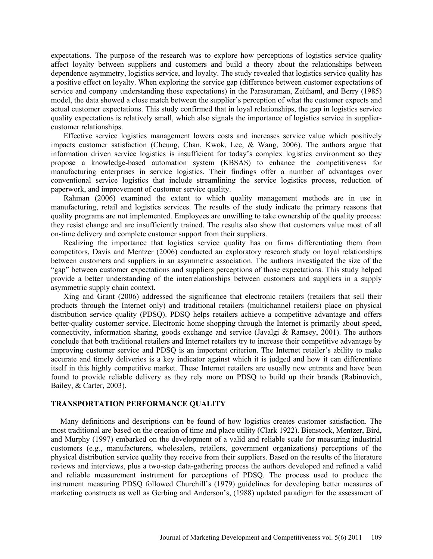expectations. The purpose of the research was to explore how perceptions of logistics service quality affect loyalty between suppliers and customers and build a theory about the relationships between dependence asymmetry, logistics service, and loyalty. The study revealed that logistics service quality has a positive effect on loyalty. When exploring the service gap (difference between customer expectations of service and company understanding those expectations) in the Parasuraman, Zeithaml, and Berry (1985) model, the data showed a close match between the supplier's perception of what the customer expects and actual customer expectations. This study confirmed that in loyal relationships, the gap in logistics service quality expectations is relatively small, which also signals the importance of logistics service in suppliercustomer relationships.

Effective service logistics management lowers costs and increases service value which positively impacts customer satisfaction (Cheung, Chan, Kwok, Lee, & Wang, 2006). The authors argue that information driven service logistics is insufficient for today's complex logistics environment so they propose a knowledge-based automation system (KBSAS) to enhance the competitiveness for manufacturing enterprises in service logistics. Their findings offer a number of advantages over conventional service logistics that include streamlining the service logistics process, reduction of paperwork, and improvement of customer service quality.

Rahman (2006) examined the extent to which quality management methods are in use in manufacturing, retail and logistics services. The results of the study indicate the primary reasons that quality programs are not implemented. Employees are unwilling to take ownership of the quality process: they resist change and are insufficiently trained. The results also show that customers value most of all on-time delivery and complete customer support from their suppliers.

Realizing the importance that logistics service quality has on firms differentiating them from competitors, Davis and Mentzer (2006) conducted an exploratory research study on loyal relationships between customers and suppliers in an asymmetric association. The authors investigated the size of the "gap" between customer expectations and suppliers perceptions of those expectations. This study helped provide a better understanding of the interrelationships between customers and suppliers in a supply asymmetric supply chain context.

Xing and Grant (2006) addressed the significance that electronic retailers (retailers that sell their products through the Internet only) and traditional retailers (multichannel retailers) place on physical distribution service quality (PDSQ). PDSQ helps retailers achieve a competitive advantage and offers better-quality customer service. Electronic home shopping through the Internet is primarily about speed, connectivity, information sharing, goods exchange and service (Javalgi & Ramsey, 2001). The authors conclude that both traditional retailers and Internet retailers try to increase their competitive advantage by improving customer service and PDSQ is an important criterion. The Internet retailer's ability to make accurate and timely deliveries is a key indicator against which it is judged and how it can differentiate itself in this highly competitive market. These Internet retailers are usually new entrants and have been found to provide reliable delivery as they rely more on PDSQ to build up their brands (Rabinovich, Bailey, & Carter, 2003).

## **TRANSPORTATION PERFORMANCE QUALITY**

Many definitions and descriptions can be found of how logistics creates customer satisfaction. The most traditional are based on the creation of time and place utility (Clark 1922). Bienstock, Mentzer, Bird, and Murphy (1997) embarked on the development of a valid and reliable scale for measuring industrial customers (e.g., manufacturers, wholesalers, retailers, government organizations) perceptions of the physical distribution service quality they receive from their suppliers. Based on the results of the literature reviews and interviews, plus a two-step data-gathering process the authors developed and refined a valid and reliable measurement instrument for perceptions of PDSQ. The process used to produce the instrument measuring PDSQ followed Churchill's (1979) guidelines for developing better measures of marketing constructs as well as Gerbing and Anderson's, (1988) updated paradigm for the assessment of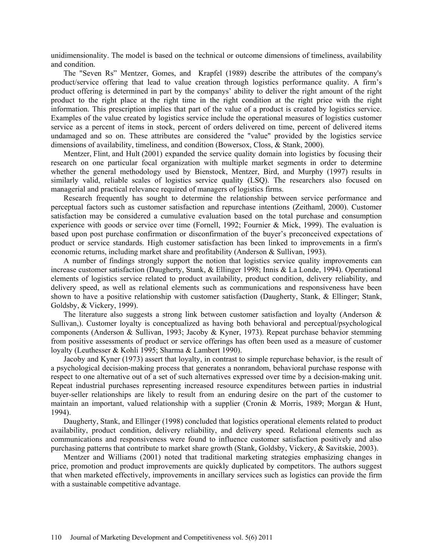unidimensionality. The model is based on the technical or outcome dimensions of timeliness, availability and condition.

The "Seven Rs" Mentzer, Gomes, and Krapfel (1989) describe the attributes of the company's product/service offering that lead to value creation through logistics performance quality. A firm's product offering is determined in part by the companys' ability to deliver the right amount of the right product to the right place at the right time in the right condition at the right price with the right information. This prescription implies that part of the value of a product is created by logistics service. Examples of the value created by logistics service include the operational measures of logistics customer service as a percent of items in stock, percent of orders delivered on time, percent of delivered items undamaged and so on. These attributes are considered the "value" provided by the logistics service dimensions of availability, timeliness, and condition (Bowersox, Closs, & Stank, 2000).

Mentzer, Flint, and Hult (2001) expanded the service quality domain into logistics by focusing their research on one particular focal organization with multiple market segments in order to determine whether the general methodology used by Bienstock, Mentzer, Bird, and Murphy (1997) results in similarly valid, reliable scales of logistics service quality (LSQ). The researchers also focused on managerial and practical relevance required of managers of logistics firms.

Research frequently has sought to determine the relationship between service performance and perceptual factors such as customer satisfaction and repurchase intentions (Zeithaml, 2000). Customer satisfaction may be considered a cumulative evaluation based on the total purchase and consumption experience with goods or service over time (Fornell, 1992; Fournier & Mick, 1999). The evaluation is based upon post purchase confirmation or disconfirmation of the buyer's preconceived expectations of product or service standards. High customer satisfaction has been linked to improvements in a firm's economic returns, including market share and profitability (Anderson & Sullivan, 1993).

A number of findings strongly support the notion that logistics service quality improvements can increase customer satisfaction (Daugherty, Stank, & Ellinger 1998; Innis & La Londe, 1994). Operational elements of logistics service related to product availability, product condition, delivery reliability, and delivery speed, as well as relational elements such as communications and responsiveness have been shown to have a positive relationship with customer satisfaction (Daugherty, Stank, & Ellinger; Stank, Goldsby, & Vickery, 1999).

The literature also suggests a strong link between customer satisfaction and loyalty (Anderson  $\&$ Sullivan,). Customer loyalty is conceptualized as having both behavioral and perceptual/psychological components (Anderson & Sullivan, 1993; Jacoby & Kyner, 1973). Repeat purchase behavior stemming from positive assessments of product or service offerings has often been used as a measure of customer loyalty (Leuthesser & Kohli 1995; Sharma & Lambert 1990).

Jacoby and Kyner (1973) assert that loyalty, in contrast to simple repurchase behavior, is the result of a psychological decision-making process that generates a nonrandom, behavioral purchase response with respect to one alternative out of a set of such alternatives expressed over time by a decision-making unit. Repeat industrial purchases representing increased resource expenditures between parties in industrial buyer-seller relationships are likely to result from an enduring desire on the part of the customer to maintain an important, valued relationship with a supplier (Cronin & Morris, 1989; Morgan & Hunt, 1994).

Daugherty, Stank, and Ellinger (1998) concluded that logistics operational elements related to product availability, product condition, delivery reliability, and delivery speed. Relational elements such as communications and responsiveness were found to influence customer satisfaction positively and also purchasing patterns that contribute to market share growth (Stank, Goldsby, Vickery, & Savitskie, 2003).

Mentzer and Williams (2001) noted that traditional marketing strategies emphasizing changes in price, promotion and product improvements are quickly duplicated by competitors. The authors suggest that when marketed effectively, improvements in ancillary services such as logistics can provide the firm with a sustainable competitive advantage.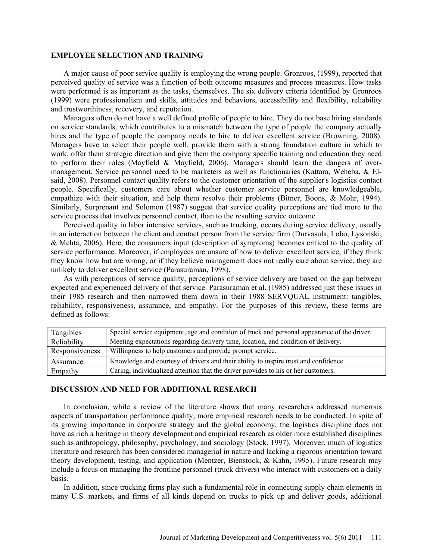#### **EMPLOYEE SELECTION AND TRAINING**

A major cause of poor service quality is employing the wrong people. Gronroos, (1999), reported that perceived quality of service was a function of both outcome measures and process measures. How tasks were performed is as important as the tasks, themselves. The six delivery criteria identified by Gronroos (1999) were professionalism and skills, attitudes and behaviors, accessibility and flexibility, reliability and trustworthiness, recovery, and reputation.

Managers often do not have a well defined profile of people to hire. They do not base hiring standards on service standards, which contributes to a mismatch between the type of people the company actually hires and the type of people the company needs to hire to deliver excellent service (Browning, 2008). Managers have to select their people well, provide them with a strong foundation culture in which to work, offer them strategic direction and give them the company specific training and education they need to perform their roles (Mayfield & Mayfield, 2006). Managers should learn the dangers of overmanagement. Service personnel need to be marketers as well as functionaries (Kattara, Weheba, & Elsaid, 2008). Personnel contact quality refers to the customer orientation of the supplier's logistics contact people. Specifically, customers care about whether customer service personnel are knowledgeable, empathize with their situation, and help them resolve their problems (Bitner, Boons, & Mohr, 1994). Similarly, Surprenant and Solomon (1987) suggest that service quality perceptions are tied more to the service process that involves personnel contact, than to the resulting service outcome.

Perceived quality in labor intensive services, such as trucking, occurs during service delivery, usually in an interaction between the client and contact person from the service firm (Durvasula, Lobo, Lysonski, & Mehta, 2006). Here, the consumers input (description of symptoms) becomes critical to the quality of service performance. Moreover, if employees are unsure of how to deliver excellent service, if they think they know how but are wrong, or if they believe management does not really care about service, they are unlikely to deliver excellent service (Parasuraman, 1998).

As with perceptions of service quality, perceptions of service delivery are based on the gap between expected and experienced delivery of that service. Parasuraman et al. (1985) addressed just these issues in their 1985 research and then narrowed them down in their 1988 SERVQUAL instrument: tangibles, reliability, responsiveness, assurance, and empathy. For the purposes of this review, these terms are defined as follows:

| Tangibles      | Special service equipment, age and condition of truck and personal appearance of the driver. |
|----------------|----------------------------------------------------------------------------------------------|
| Reliability    | Meeting expectations regarding delivery time, location, and condition of delivery.           |
| Responsiveness | Willingness to help customers and provide prompt service.                                    |
| Assurance      | Knowledge and courtesy of drivers and their ability to inspire trust and confidence.         |
| Empathy        | Caring, individualized attention that the driver provides to his or her customers.           |

### **DISCUSSION AND NEED FOR ADDITIONAL RESEARCH**

In conclusion, while a review of the literature shows that many researchers addressed numerous aspects of transportation performance quality, more empirical research needs to be conducted. In spite of its growing importance in corporate strategy and the global economy, the logistics discipline does not have as rich a heritage in theory development and empirical research as older more established disciplines such as anthropology, philosophy, psychology, and sociology (Stock, 1997). Moreover, much of logistics literature and research has been considered managerial in nature and lacking a rigorous orientation toward theory development, testing, and application (Mentzer, Bienstock, & Kahn, 1995). Future research may include a focus on managing the frontline personnel (truck drivers) who interact with customers on a daily basis.

In addition, since trucking firms play such a fundamental role in connecting supply chain elements in many U.S. markets, and firms of all kinds depend on trucks to pick up and deliver goods, additional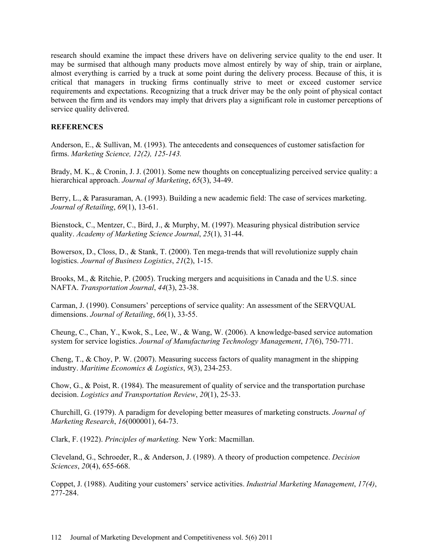research should examine the impact these drivers have on delivering service quality to the end user. It may be surmised that although many products move almost entirely by way of ship, train or airplane, almost everything is carried by a truck at some point during the delivery process. Because of this, it is critical that managers in trucking firms continually strive to meet or exceed customer service requirements and expectations. Recognizing that a truck driver may be the only point of physical contact between the firm and its vendors may imply that drivers play a significant role in customer perceptions of service quality delivered.

## **REFERENCES**

Anderson, E., & Sullivan, M. (1993). The antecedents and consequences of customer satisfaction for firms. *Marketing Science, 12(2), 125-143.*

Brady, M. K., & Cronin, J. J. (2001). Some new thoughts on conceptualizing perceived service quality: a hierarchical approach. *Journal of Marketing*, *65*(3), 34-49.

Berry, L., & Parasuraman, A. (1993). Building a new academic field: The case of services marketing. *Journal of Retailing*, *69*(1), 13-61.

Bienstock, C., Mentzer, C., Bird, J., & Murphy, M. (1997). Measuring physical distribution service quality. *Academy of Marketing Science Journal*, *25*(1), 31-44.

Bowersox, D., Closs, D., & Stank, T. (2000). Ten mega-trends that will revolutionize supply chain logistics. *Journal of Business Logistics*, *21*(2), 1-15.

Brooks, M., & Ritchie, P. (2005). Trucking mergers and acquisitions in Canada and the U.S. since NAFTA. *Transportation Journal*, *44*(3), 23-38.

Carman, J. (1990). Consumers' perceptions of service quality: An assessment of the SERVQUAL dimensions. *Journal of Retailing*, *66*(1), 33-55.

Cheung, C., Chan, Y., Kwok, S., Lee, W., & Wang, W. (2006). A knowledge-based service automation system for service logistics. *Journal of Manufacturing Technology Management*, *17*(6), 750-771.

Cheng, T., & Choy, P. W. (2007). Measuring success factors of quality managment in the shipping industry. *Maritime Economics & Logistics*, *9*(3), 234-253.

Chow, G., & Poist, R. (1984). The measurement of quality of service and the transportation purchase decision. *Logistics and Transportation Review*, *20*(1), 25-33.

Churchill, G. (1979). A paradigm for developing better measures of marketing constructs. *Journal of Marketing Research*, *16*(000001), 64-73.

Clark, F. (1922). *Principles of marketing.* New York: Macmillan.

Cleveland, G., Schroeder, R., & Anderson, J. (1989). A theory of production competence. *Decision Sciences*, *20*(4), 655-668.

Coppet, J. (1988). Auditing your customers' service activities. *Industrial Marketing Management*, *17(4)*, 277-284.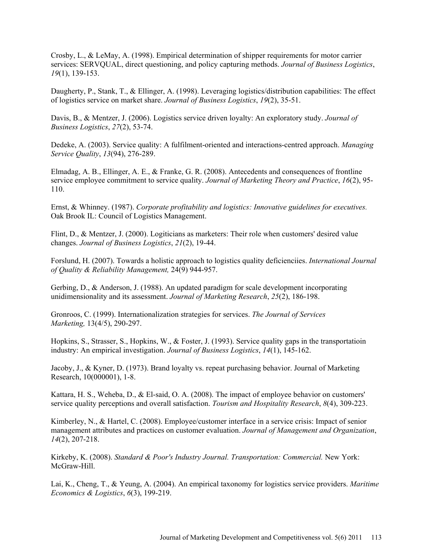Crosby, L., & LeMay, A. (1998). Empirical determination of shipper requirements for motor carrier services: SERVQUAL, direct questioning, and policy capturing methods. *Journal of Business Logistics*, *19*(1), 139-153.

Daugherty, P., Stank, T., & Ellinger, A. (1998). Leveraging logistics/distribution capabilities: The effect of logistics service on market share. *Journal of Business Logistics*, *19*(2), 35-51.

Davis, B., & Mentzer, J. (2006). Logistics service driven loyalty: An exploratory study. *Journal of Business Logistics*, *27*(2), 53-74.

Dedeke, A. (2003). Service quality: A fulfilment-oriented and interactions-centred approach. *Managing Service Quality*, *13*(94), 276-289.

Elmadag, A. B., Ellinger, A. E., & Franke, G. R. (2008). Antecedents and consequences of frontline service employee commitment to service quality. *Journal of Marketing Theory and Practice*, *16*(2), 95- 110.

Ernst, & Whinney. (1987). *Corporate profitability and logistics: Innovative guidelines for executives.* Oak Brook IL: Council of Logistics Management.

Flint, D., & Mentzer, J. (2000). Logiticians as marketers: Their role when customers' desired value changes. *Journal of Business Logistics*, *21*(2), 19-44.

Forslund, H. (2007). Towards a holistic approach to logistics quality deficienciies. *International Journal of Quality & Reliability Management,* 24(9) 944-957.

Gerbing, D., & Anderson, J. (1988). An updated paradigm for scale development incorporating unidimensionality and its assessment. *Journal of Marketing Research*, *25*(2), 186-198.

Gronroos, C. (1999). Internationalization strategies for services. *The Journal of Services Marketing,* 13(4/5), 290-297.

Hopkins, S., Strasser, S., Hopkins, W., & Foster, J. (1993). Service quality gaps in the transportatioin industry: An empirical investigation. *Journal of Business Logistics*, *14*(1), 145-162.

Jacoby, J., & Kyner, D. (1973). Brand loyalty vs. repeat purchasing behavior. Journal of Marketing Research, 10(000001), 1-8.

Kattara, H. S., Weheba, D., & El-said, O. A. (2008). The impact of employee behavior on customers' service quality perceptions and overall satisfaction. *Tourism and Hospitality Research*, *8*(4), 309-223.

Kimberley, N., & Hartel, C. (2008). Employee/customer interface in a service crisis: Impact of senior management attributes and practices on customer evaluation. *Journal of Management and Organization*, *14*(2), 207-218.

Kirkeby, K. (2008). *Standard & Poor's Industry Journal. Transportation: Commercial.* New York: McGraw-Hill.

Lai, K., Cheng, T., & Yeung, A. (2004). An empirical taxonomy for logistics service providers. *Maritime Economics & Logistics*, *6*(3), 199-219.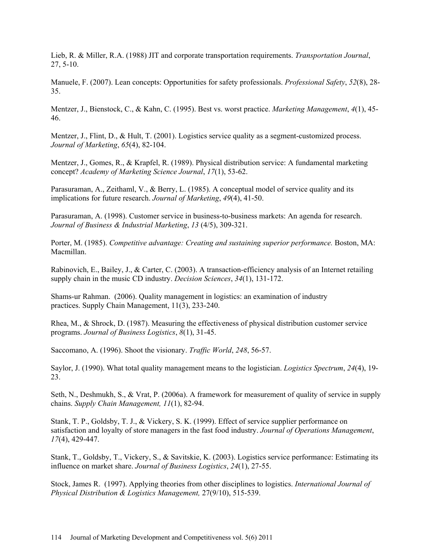Lieb, R. & Miller, R.A. (1988) JIT and corporate transportation requirements. *Transportation Journal*, 27, 5-10.

Manuele, F. (2007). Lean concepts: Opportunities for safety professionals. *Professional Safety*, *52*(8), 28- 35.

Mentzer, J., Bienstock, C., & Kahn, C. (1995). Best vs. worst practice. *Marketing Management*, *4*(1), 45- 46.

Mentzer, J., Flint, D., & Hult, T. (2001). Logistics service quality as a segment-customized process. *Journal of Marketing*, *65*(4), 82-104.

Mentzer, J., Gomes, R., & Krapfel, R. (1989). Physical distribution service: A fundamental marketing concept? *Academy of Marketing Science Journal*, *17*(1), 53-62.

Parasuraman, A., Zeithaml, V., & Berry, L. (1985). A conceptual model of service quality and its implications for future research. *Journal of Marketing*, *49*(4), 41-50.

Parasuraman, A. (1998). Customer service in business-to-business markets: An agenda for research. *Journal of Business & Industrial Marketing*, *13* (4/5), 309-321.

Porter, M. (1985). *Competitive advantage: Creating and sustaining superior performance.* Boston, MA: Macmillan.

Rabinovich, E., Bailey, J., & Carter, C. (2003). A transaction-efficiency analysis of an Internet retailing supply chain in the music CD industry. *Decision Sciences*, *34*(1), 131-172.

Shams-ur Rahman. (2006). Quality management in logistics: an examination of industry practices. Supply Chain Management, 11(3), 233-240.

Rhea, M., & Shrock, D. (1987). Measuring the effectiveness of physical distribution customer service programs. *Journal of Business Logistics*, *8*(1), 31-45.

Saccomano, A. (1996). Shoot the visionary. *Traffic World*, *248*, 56-57.

Saylor, J. (1990). What total quality management means to the logistician. *Logistics Spectrum*, *24*(4), 19- 23.

Seth, N., Deshmukh, S., & Vrat, P. (2006a). A framework for measurement of quality of service in supply chains. *Supply Chain Management, 11*(1), 82-94.

Stank, T. P., Goldsby, T. J., & Vickery, S. K. (1999). Effect of service supplier performance on satisfaction and loyalty of store managers in the fast food industry. *Journal of Operations Management*, *17*(4), 429-447.

Stank, T., Goldsby, T., Vickery, S., & Savitskie, K. (2003). Logistics service performance: Estimating its influence on market share. *Journal of Business Logistics*, *24*(1), 27-55.

Stock, James R. (1997). Applying theories from other disciplines to logistics. *International Journal of Physical Distribution & Logistics Management,* 27(9/10), 515-539.